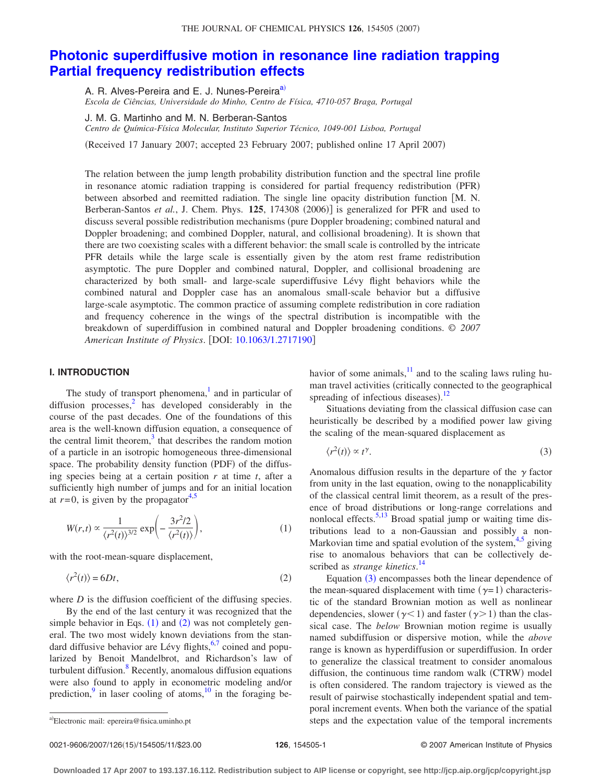#### THE JOURNAL OF CHEMICAL PHYSICS 126, 154505 (2007)

# **[Photonic superdiffusive motion in resonance line radiation trapping](http://dx.doi.org/10.1063/1.2717190) [Partial frequency redistribution effects](http://dx.doi.org/10.1063/1.2717190)**

A. R. Alves-Pereira and E. J. Nunes-Pereira<sup>a)</sup>

*Escola de Ciências, Universidade do Minho, Centro de Física, 4710-057 Braga, Portugal*

J. M. G. Martinho and M. N. Berberan-Santos

*Centro de Química-Física Molecular, Instituto Superior Técnico, 1049-001 Lisboa, Portugal*

(Received 17 January 2007; accepted 23 February 2007; published online 17 April 2007)

The relation between the jump length probability distribution function and the spectral line profile in resonance atomic radiation trapping is considered for partial frequency redistribution (PFR) between absorbed and reemitted radiation. The single line opacity distribution function [M. N. Berberan-Santos et al., J. Chem. Phys. 125, 174308 (2006)] is generalized for PFR and used to discuss several possible redistribution mechanisms (pure Doppler broadening; combined natural and Doppler broadening; and combined Doppler, natural, and collisional broadening). It is shown that there are two coexisting scales with a different behavior: the small scale is controlled by the intricate PFR details while the large scale is essentially given by the atom rest frame redistribution asymptotic. The pure Doppler and combined natural, Doppler, and collisional broadening are characterized by both small- and large-scale superdiffusive Lévy flight behaviors while the combined natural and Doppler case has an anomalous small-scale behavior but a diffusive large-scale asymptotic. The common practice of assuming complete redistribution in core radiation and frequency coherence in the wings of the spectral distribution is incompatible with the breakdown of superdiffusion in combined natural and Doppler broadening conditions. © *2007 American Institute of Physics*. DOI: [10.1063/1.2717190](http://dx.doi.org/10.1063/1.2717190)

## **I. INTRODUCTION**

The study of transport phenomena, $\frac{1}{2}$  and in particular of diffusion processes, $\frac{2}{3}$  has developed considerably in the course of the past decades. One of the foundations of this area is the well-known diffusion equation, a consequence of the central limit theorem, $3$  that describes the random motion of a particle in an isotropic homogeneous three-dimensional space. The probability density function (PDF) of the diffusing species being at a certain position *r* at time *t*, after a sufficiently high number of jumps and for an initial location at  $r=0$ , is given by the propagator<sup>4[,5](#page-10-2)</sup>

<span id="page-0-1"></span>
$$
W(r,t) \propto \frac{1}{\langle r^2(t) \rangle^{3/2}} \exp\left(-\frac{3r^2/2}{\langle r^2(t) \rangle}\right),\tag{1}
$$

<span id="page-0-2"></span>with the root-mean-square displacement,

$$
\langle r^2(t) \rangle = 6Dt,\tag{2}
$$

where *D* is the diffusion coefficient of the diffusing species.

By the end of the last century it was recognized that the simple behavior in Eqs.  $(1)$  $(1)$  $(1)$  and  $(2)$  $(2)$  $(2)$  was not completely general. The two most widely known deviations from the standard diffusive behavior are Lévy flights, $6,7$  $6,7$  coined and popularized by Benoit Mandelbrot, and Richardson's law of turbulent diffusion. $8$  Recently, anomalous diffusion equations were also found to apply in econometric modeling and/or prediction, $9$  in laser cooling of atoms,  $10$  in the foraging behavior of some animals, $\frac{11}{11}$  and to the scaling laws ruling human travel activities (critically connected to the geographical spreading of infectious diseases). $^{12}$  $^{12}$  $^{12}$ 

Situations deviating from the classical diffusion case can heuristically be described by a modified power law giving the scaling of the mean-squared displacement as

<span id="page-0-3"></span>
$$
\langle r^2(t) \rangle \propto t^{\gamma}.\tag{3}
$$

Anomalous diffusion results in the departure of the  $\gamma$  factor from unity in the last equation, owing to the nonapplicability of the classical central limit theorem, as a result of the presence of broad distributions or long-range correlations and nonlocal effects. $5,13$  $5,13$  Broad spatial jump or waiting time distributions lead to a non-Gaussian and possibly a non-Markovian time and spatial evolution of the system, $4.5$  $4.5$  giving rise to anomalous behaviors that can be collectively described as *strange kinetics*. [14](#page-10-11)

Equation ([3](#page-0-3)) encompasses both the linear dependence of the mean-squared displacement with time  $(\gamma=1)$  characteristic of the standard Brownian motion as well as nonlinear dependencies, slower ( $\gamma$ <1) and faster ( $\gamma$ >1) than the classical case. The *below* Brownian motion regime is usually named subdiffusion or dispersive motion, while the *above* range is known as hyperdiffusion or superdiffusion. In order to generalize the classical treatment to consider anomalous diffusion, the continuous time random walk (CTRW) model is often considered. The random trajectory is viewed as the result of pairwise stochastically independent spatial and temporal increment events. When both the variance of the spatial steps and the expectation value of the temporal increments

<span id="page-0-0"></span>Electronic mail: epereira@fisica.uminho.pt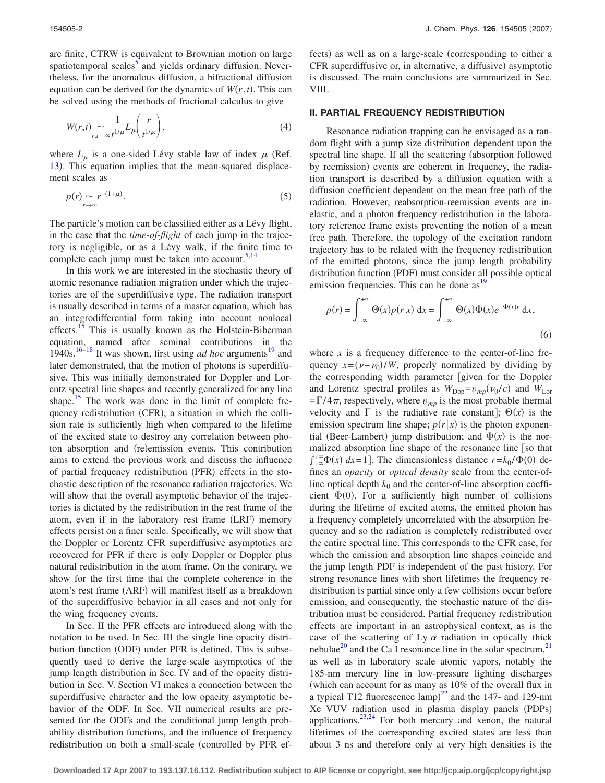are finite, CTRW is equivalent to Brownian motion on large spatiotemporal scales<sup>3</sup> and yields ordinary diffusion. Nevertheless, for the anomalous diffusion, a bifractional diffusion equation can be derived for the dynamics of  $W(r, t)$ . This can be solved using the methods of fractional calculus to give

$$
W(r,t) \sim \frac{1}{r^{1/\mu}} L_{\mu} \left( \frac{r}{t^{1/\mu}} \right),\tag{4}
$$

where  $L_{\mu}$  is a one-sided Lévy stable law of index  $\mu$  (Ref. [13](#page-10-10)). This equation implies that the mean-squared displacement scales as

<span id="page-1-1"></span>
$$
p(r) \sim r^{-(1+\mu)}.
$$
\n<sup>(5)</sup>

The particle's motion can be classified either as a Lévy flight, in the case that the *time-of-flight* of each jump in the trajectory is negligible, or as a Lévy walk, if the finite time to complete each jump must be taken into account. $5,14$  $5,14$ 

In this work we are interested in the stochastic theory of atomic resonance radiation migration under which the trajectories are of the superdiffusive type. The radiation transport is usually described in terms of a master equation, which has an integrodifferential form taking into account nonlocal effects.<sup>15</sup> This is usually known as the Holstein-Biberman equation, named after seminal contributions in the 1940s.<sup>16[–18](#page-10-14)</sup> It was shown, first using *ad hoc* arguments<sup>19</sup> and later demonstrated, that the motion of photons is superdiffusive. This was initially demonstrated for Doppler and Lorentz spectral line shapes and recently generalized for any line shape.<sup>15</sup> The work was done in the limit of complete frequency redistribution (CFR), a situation in which the collision rate is sufficiently high when compared to the lifetime of the excited state to destroy any correlation between photon absorption and (re)emission events. This contribution aims to extend the previous work and discuss the influence of partial frequency redistribution (PFR) effects in the stochastic description of the resonance radiation trajectories. We will show that the overall asymptotic behavior of the trajectories is dictated by the redistribution in the rest frame of the atom, even if in the laboratory rest frame (LRF) memory effects persist on a finer scale. Specifically, we will show that the Doppler or Lorentz CFR superdiffusive asymptotics are recovered for PFR if there is only Doppler or Doppler plus natural redistribution in the atom frame. On the contrary, we show for the first time that the complete coherence in the atom's rest frame (ARF) will manifest itself as a breakdown of the superdiffusive behavior in all cases and not only for the wing frequency events.

In Sec. II the PFR effects are introduced along with the notation to be used. In Sec. III the single line opacity distribution function (ODF) under PFR is defined. This is subsequently used to derive the large-scale asymptotics of the jump length distribution in Sec. IV and of the opacity distribution in Sec. V. Section VI makes a connection between the superdiffusive character and the low opacity asymptotic behavior of the ODF. In Sec. VII numerical results are presented for the ODFs and the conditional jump length probability distribution functions, and the influence of frequency redistribution on both a small-scale (controlled by PFR ef-

fects) as well as on a large-scale (corresponding to either a CFR superdiffusive or, in alternative, a diffusive) asymptotic is discussed. The main conclusions are summarized in Sec. VIII.

#### **II. PARTIAL FREQUENCY REDISTRIBUTION**

Resonance radiation trapping can be envisaged as a random flight with a jump size distribution dependent upon the spectral line shape. If all the scattering (absorption followed by reemission) events are coherent in frequency, the radiation transport is described by a diffusion equation with a diffusion coefficient dependent on the mean free path of the radiation. However, reabsorption-reemission events are inelastic, and a photon frequency redistribution in the laboratory reference frame exists preventing the notion of a mean free path. Therefore, the topology of the excitation random trajectory has to be related with the frequency redistribution of the emitted photons, since the jump length probability distribution function (PDF) must consider all possible optical emission frequencies. This can be done as<sup>19</sup>

<span id="page-1-0"></span>
$$
p(r) = \int_{-\infty}^{+\infty} \Theta(x)p(r|x) dx = \int_{-\infty}^{+\infty} \Theta(x)\Phi(x)e^{-\Phi(x)r} dx,
$$
\n(6)

where *x* is a frequency difference to the center-of-line frequency  $x = (v - v_0) / W$ , properly normalized by dividing by the corresponding width parameter given for the Doppler and Lorentz spectral profiles as  $W_{\text{Dop}} = v_{mp} (v_0/c)$  and  $W_{\text{Lor}}$  $=\Gamma/4\pi$ , respectively, where  $v_{mp}$  is the most probable thermal velocity and  $\Gamma$  is the radiative rate constant];  $\Theta(x)$  is the emission spectrum line shape;  $p(r|x)$  is the photon exponential (Beer-Lambert) jump distribution; and  $\Phi(x)$  is the normalized absorption line shape of the resonance line  $\lceil$  so that  $\int_{-\infty}^{+\infty} \Phi(x) dx = 1$ . The dimensionless distance  $r = k_0 / \Phi(0)$  defines an *opacity* or *optical density* scale from the center-ofline optical depth  $k_0$  and the center-of-line absorption coefficient  $\Phi(0)$ . For a sufficiently high number of collisions during the lifetime of excited atoms, the emitted photon has a frequency completely uncorrelated with the absorption frequency and so the radiation is completely redistributed over the entire spectral line. This corresponds to the CFR case, for which the emission and absorption line shapes coincide and the jump length PDF is independent of the past history. For strong resonance lines with short lifetimes the frequency redistribution is partial since only a few collisions occur before emission, and consequently, the stochastic nature of the distribution must be considered. Partial frequency redistribution effects are important in an astrophysical context, as is the case of the scattering of Ly  $\alpha$  radiation in optically thick nebulae<sup>20</sup> and the Ca I resonance line in the solar spectrum,  $21$ as well as in laboratory scale atomic vapors, notably the 185-nm mercury line in low-pressure lighting discharges which can account for as many as 10% of the overall flux in a typical T12 fluorescence  $\text{lamp}^{22}$  $\text{lamp}^{22}$  $\text{lamp}^{22}$  and the 147- and 129-nm Xe VUV radiation used in plasma display panels (PDPs) applications. $^{23,24}$  $^{23,24}$  $^{23,24}$  For both mercury and xenon, the natural lifetimes of the corresponding excited states are less than about 3 ns and therefore only at very high densities is the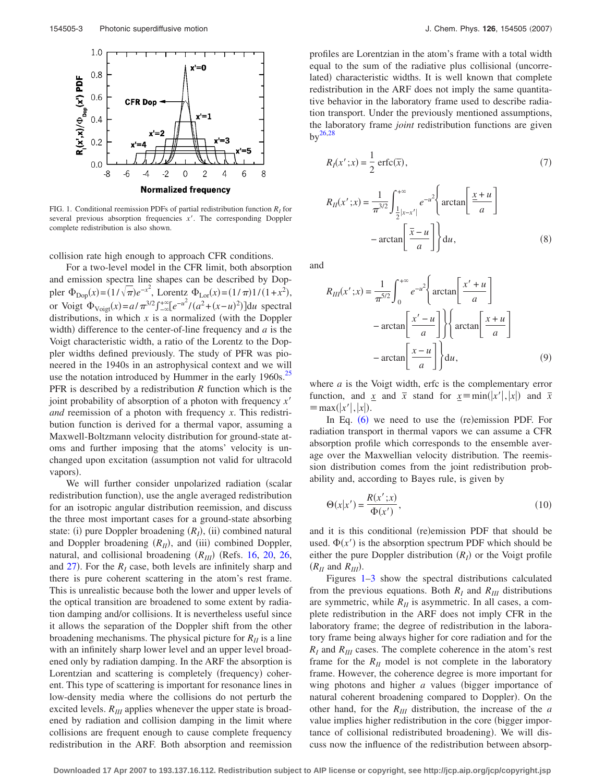<span id="page-2-0"></span>

FIG. 1. Conditional reemission PDFs of partial redistribution function  $R<sub>I</sub>$  for several previous absorption frequencies *x'*. The corresponding Doppler complete redistribution is also shown.

collision rate high enough to approach CFR conditions.

For a two-level model in the CFR limit, both absorption and emission spectra line shapes can be described by Doppler  $\Phi_{\text{Dop}}(x) = (1/\sqrt{\pi})e^{-x^2}$ , Lorentz  $\Phi_{\text{Lor}}(x) = (1/\pi)1/(1+x^2)$ , or Voigt  $\Phi_{\text{Voigt}}(x) = a/\pi^{3/2} \int_{-\infty}^{+\infty} [e^{-u^2} / (a^2 + (x - u)^2)] du$  spectral distributions, in which  $x$  is a normalized (with the Doppler width) difference to the center-of-line frequency and  $a$  is the Voigt characteristic width, a ratio of the Lorentz to the Doppler widths defined previously. The study of PFR was pioneered in the 1940s in an astrophysical context and we will use the notation introduced by Hummer in the early  $1960s$ .<sup>25</sup> PFR is described by a redistribution *R* function which is the joint probability of absorption of a photon with frequency *x and* reemission of a photon with frequency *x*. This redistribution function is derived for a thermal vapor, assuming a Maxwell-Boltzmann velocity distribution for ground-state atoms and further imposing that the atoms' velocity is unchanged upon excitation (assumption not valid for ultracold vapors).

We will further consider unpolarized radiation (scalar redistribution function), use the angle averaged redistribution for an isotropic angular distribution reemission, and discuss the three most important cases for a ground-state absorbing state: (i) pure Doppler broadening  $(R<sub>I</sub>)$ , (ii) combined natural and Doppler broadening  $(R<sub>H</sub>)$ , and (iii) combined Doppler, natural, and collisional broadening  $(R_{III})$  (Refs. [16,](#page-10-13) [20,](#page-10-16) [26,](#page-10-22) and  $27$ ). For the  $R<sub>I</sub>$  case, both levels are infinitely sharp and there is pure coherent scattering in the atom's rest frame. This is unrealistic because both the lower and upper levels of the optical transition are broadened to some extent by radiation damping and/or collisions. It is nevertheless useful since it allows the separation of the Doppler shift from the other broadening mechanisms. The physical picture for  $R_{II}$  is a line with an infinitely sharp lower level and an upper level broadened only by radiation damping. In the ARF the absorption is Lorentzian and scattering is completely (frequency) coherent. This type of scattering is important for resonance lines in low-density media where the collisions do not perturb the excited levels.  $R_{III}$  applies whenever the upper state is broadened by radiation and collision damping in the limit where collisions are frequent enough to cause complete frequency redistribution in the ARF. Both absorption and reemission profiles are Lorentzian in the atom's frame with a total width equal to the sum of the radiative plus collisional uncorrelated) characteristic widths. It is well known that complete redistribution in the ARF does not imply the same quantitative behavior in the laboratory frame used to describe radiation transport. Under the previously mentioned assumptions, the laboratory frame *joint* redistribution functions are given  $by^{26,28}$  $by^{26,28}$  $by^{26,28}$ 

$$
R_I(x';x) = \frac{1}{2}\operatorname{erfc}(\overline{x}),\tag{7}
$$

$$
R_{II}(x';x) = \frac{1}{\pi^{3/2}} \int_{\frac{1}{2}|x-x'|}^{+\infty} e^{-u^2} \left\{ \arctan\left[\frac{x+u}{a}\right] - \arctan\left[\frac{\overline{x}-u}{a}\right] \right\} du,
$$
 (8)

and

$$
R_{III}(x';x) = \frac{1}{\pi^{5/2}} \int_0^{+\infty} e^{-u^2} \left\{ \arctan\left[\frac{x' + u}{a}\right] - \arctan\left[\frac{x' - u}{a}\right] \right\} \left\{ \arctan\left[\frac{x + u}{a}\right] - \arctan\left[\frac{x - u}{a}\right] \right\} du,
$$
 (9)

where *a* is the Voigt width, erfc is the complementary error function, and <u>x</u> and  $\bar{x}$  stand for  $\underline{x} \equiv \min(|x'|, |x|)$  and  $\bar{x}$  $\equiv$  max(|x'|,|x|).

In Eq.  $(6)$  $(6)$  $(6)$  we need to use the  $(re)$ emission PDF. For radiation transport in thermal vapors we can assume a CFR absorption profile which corresponds to the ensemble average over the Maxwellian velocity distribution. The reemission distribution comes from the joint redistribution probability and, according to Bayes rule, is given by

$$
\Theta(x|x') = \frac{R(x';x)}{\Phi(x')},\tag{10}
$$

and it is this conditional (re)emission PDF that should be used.  $\Phi(x')$  is the absorption spectrum PDF which should be either the pure Doppler distribution  $(R<sub>I</sub>)$  or the Voigt profile  $(R_{II}$  and  $R_{III}$ ).

Figures [1](#page-2-0)[–3](#page-3-0) show the spectral distributions calculated from the previous equations. Both  $R_I$  and  $R_{III}$  distributions are symmetric, while  $R<sub>II</sub>$  is asymmetric. In all cases, a complete redistribution in the ARF does not imply CFR in the laboratory frame; the degree of redistribution in the laboratory frame being always higher for core radiation and for the  $R_I$  and  $R_{III}$  cases. The complete coherence in the atom's rest frame for the  $R_{II}$  model is not complete in the laboratory frame. However, the coherence degree is more important for wing photons and higher *a* values (bigger importance of natural coherent broadening compared to Doppler). On the other hand, for the *RIII* distribution, the increase of the *a* value implies higher redistribution in the core (bigger importance of collisional redistributed broadening). We will discuss now the influence of the redistribution between absorp-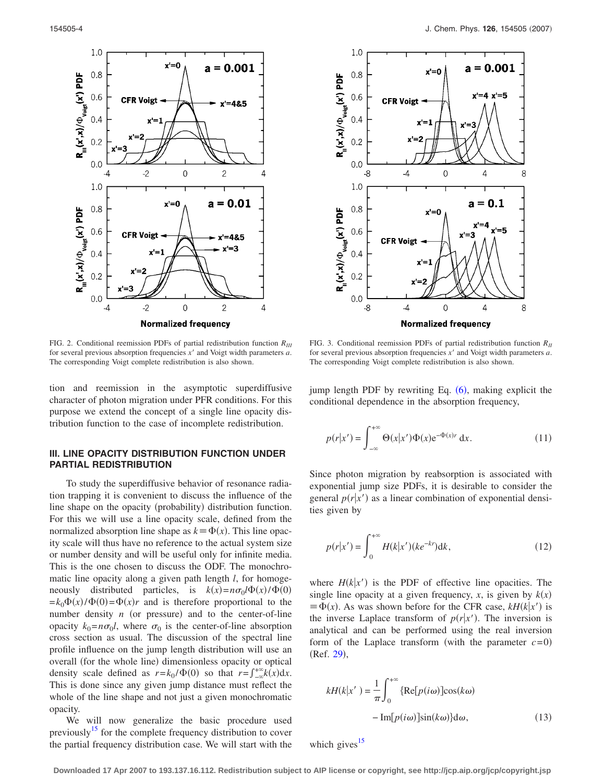<span id="page-3-1"></span>

FIG. 2. Conditional reemission PDFs of partial redistribution function *RIII* for several previous absorption frequencies  $x'$  and Voigt width parameters  $a$ . The corresponding Voigt complete redistribution is also shown.

tion and reemission in the asymptotic superdiffusive character of photon migration under PFR conditions. For this purpose we extend the concept of a single line opacity distribution function to the case of incomplete redistribution.

## **III. LINE OPACITY DISTRIBUTION FUNCTION UNDER PARTIAL REDISTRIBUTION**

To study the superdiffusive behavior of resonance radiation trapping it is convenient to discuss the influence of the line shape on the opacity (probability) distribution function. For this we will use a line opacity scale, defined from the normalized absorption line shape as  $k = \Phi(x)$ . This line opacity scale will thus have no reference to the actual system size or number density and will be useful only for infinite media. This is the one chosen to discuss the ODF. The monochromatic line opacity along a given path length *l*, for homogeneously distributed particles, is  $k(x) = n\sigma_0 l\Phi(x) / \Phi(0)$  $=k_0\Phi(x)/\Phi(0) = \Phi(x)r$  and is therefore proportional to the number density  $n$  (or pressure) and to the center-of-line opacity  $k_0 = n\sigma_0 l$ , where  $\sigma_0$  is the center-of-line absorption cross section as usual. The discussion of the spectral line profile influence on the jump length distribution will use an overall (for the whole line) dimensionless opacity or optical density scale defined as  $r = k_0 / \Phi(0)$  so that  $r = \int_{-\infty}^{+\infty} k(x) dx$ . This is done since any given jump distance must reflect the whole of the line shape and not just a given monochromatic opacity.

We will now generalize the basic procedure used previously<sup>15</sup> for the complete frequency distribution to cover the partial frequency distribution case. We will start with the

<span id="page-3-0"></span>

FIG. 3. Conditional reemission PDFs of partial redistribution function *RII* for several previous absorption frequencies x' and Voigt width parameters a. The corresponding Voigt complete redistribution is also shown.

jump length PDF by rewriting Eq.  $(6)$  $(6)$  $(6)$ , making explicit the conditional dependence in the absorption frequency,

<span id="page-3-3"></span>
$$
p(r|x') = \int_{-\infty}^{+\infty} \Theta(x|x') \Phi(x) e^{-\Phi(x)r} dx.
$$
 (11)

Since photon migration by reabsorption is associated with exponential jump size PDFs, it is desirable to consider the general  $p(r|x')$  as a linear combination of exponential densities given by

<span id="page-3-2"></span>
$$
p(r|x') = \int_0^{+\infty} H(k|x')(ke^{-kr}) \mathrm{d}k,\tag{12}
$$

where  $H(k|x')$  is the PDF of effective line opacities. The single line opacity at a given frequency,  $x$ , is given by  $k(x)$  $\equiv \Phi(x)$ . As was shown before for the CFR case,  $kH(k|x')$  is the inverse Laplace transform of  $p(r|x')$ . The inversion is analytical and can be performed using the real inversion form of the Laplace transform (with the parameter  $c = 0$ ) (Ref. [29](#page-10-25)),

$$
kH(k|x') = \frac{1}{\pi} \int_0^{+\infty} \{ \text{Re}[p(i\omega)] \cos(k\omega) - \text{Im}[p(i\omega)] \sin(k\omega) \} d\omega,
$$
 (13)

which gives $15$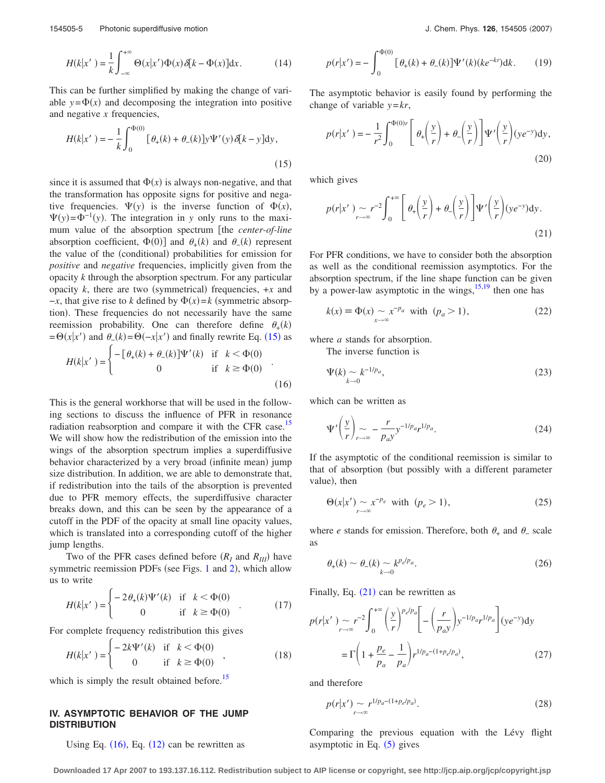$$
H(k|x') = \frac{1}{k} \int_{-\infty}^{+\infty} \Theta(x|x') \Phi(x) \delta[k - \Phi(x)] dx.
$$
 (14)

This can be further simplified by making the change of variable  $y = \Phi(x)$  and decomposing the integration into positive and negative *x* frequencies,

<span id="page-4-0"></span>
$$
H(k|x') = -\frac{1}{k} \int_0^{\Phi(0)} [\theta_{+}(k) + \theta_{-}(k)] y \Psi'(y) \delta[k - y] dy,
$$
\n(15)

since it is assumed that  $\Phi(x)$  is always non-negative, and that the transformation has opposite signs for positive and negative frequencies.  $\Psi(y)$  is the inverse function of  $\Phi(x)$ ,  $\Psi(y) = \Phi^{-1}(y)$ . The integration in *y* only runs to the maximum value of the absorption spectrum [the *center-of-line* absorption coefficient,  $\Phi(0)$  and  $\theta_+(k)$  and  $\theta_-(k)$  represent the value of the (conditional) probabilities for emission for *positive* and *negative* frequencies, implicitly given from the opacity *k* through the absorption spectrum. For any particular opacity  $k$ , there are two (symmetrical) frequencies,  $+x$  and  $-x$ , that give rise to *k* defined by  $\Phi(x) = k$  (symmetric absorption). These frequencies do not necessarily have the same reemission probability. One can therefore define  $\theta_+(k)$  $= \Theta(x|x')$  and  $\theta_-(k) = \Theta(-x|x')$  and finally rewrite Eq. ([15](#page-4-0)) as

<span id="page-4-1"></span>
$$
H(k|x') = \begin{cases} -\left[\theta_{+}(k) + \theta_{-}(k)\right] \Psi'(k) & \text{if } k < \Phi(0) \\ 0 & \text{if } k \ge \Phi(0) \end{cases}
$$
(16)

This is the general workhorse that will be used in the following sections to discuss the influence of PFR in resonance radiation reabsorption and compare it with the CFR case.<sup>15</sup> We will show how the redistribution of the emission into the wings of the absorption spectrum implies a superdiffusive behavior characterized by a very broad (infinite mean) jump size distribution. In addition, we are able to demonstrate that, if redistribution into the tails of the absorption is prevented due to PFR memory effects, the superdiffusive character breaks down, and this can be seen by the appearance of a cutoff in the PDF of the opacity at small line opacity values, which is translated into a corresponding cutoff of the higher jump lengths.

Two of the PFR cases defined before  $(R_I \text{ and } R_{III})$  have symmetric reemission PDFs (see Figs. [1](#page-2-0) and [2](#page-3-1)), which allow us to write

<span id="page-4-6"></span>
$$
H(k|x') = \begin{cases} -2\theta_{+}(k)\Psi'(k) & \text{if } k < \Phi(0) \\ 0 & \text{if } k \ge \Phi(0) \end{cases}
$$
 (17)

For complete frequency redistribution this gives

$$
H(k|x') = \begin{cases} -2k\Psi'(k) & \text{if } k < \Phi(0) \\ 0 & \text{if } k \ge \Phi(0) \end{cases}
$$
 (18)

which is simply the result obtained before.<sup>15</sup>

## **IV. ASYMPTOTIC BEHAVIOR OF THE JUMP DISTRIBUTION**

Using Eq.  $(16)$  $(16)$  $(16)$ , Eq.  $(12)$  $(12)$  $(12)$  can be rewritten as

$$
p(r|x') = -\int_0^{\Phi(0)} \left[ \theta_+(k) + \theta_-(k) \right] \Psi'(k) (ke^{-kr}) dk. \tag{19}
$$

The asymptotic behavior is easily found by performing the change of variable *y*=*kr*,

$$
p(r|x') = -\frac{1}{r^2} \int_0^{\Phi(0)r} \left[ \theta_r\left(\frac{y}{r}\right) + \theta_r\left(\frac{y}{r}\right) \right] \Psi'\left(\frac{y}{r}\right) (ye^{-y}) dy,
$$
\n(20)

<span id="page-4-2"></span>which gives

$$
p(r|x') \sim r^{-2} \int_0^{+\infty} \left[ \theta_+ \left( \frac{y}{r} \right) + \theta_- \left( \frac{y}{r} \right) \right] \Psi' \left( \frac{y}{r} \right) (ye^{-y}) dy.
$$
\n(21)

For PFR conditions, we have to consider both the absorption as well as the conditional reemission asymptotics. For the absorption spectrum, if the line shape function can be given by a power-law asymptotic in the wings, $15,19$  $15,19$  then one has

<span id="page-4-3"></span>
$$
k(x) \equiv \Phi(x) \sim x^{-p_a} \text{ with } (p_a > 1), \tag{22}
$$

where *a* stands for absorption.

The inverse function is

<span id="page-4-4"></span>
$$
\Psi(k) \sim k^{-1/p_a}, \tag{23}
$$

which can be written as

$$
\Psi'\left(\frac{y}{r}\right)_{r\to\infty} - \frac{r}{p_a y} y^{-1/p_a} r^{1/p_a}.
$$
\n(24)

If the asymptotic of the conditional reemission is similar to that of absorption (but possibly with a different parameter value), then

$$
\Theta(x|x') \sim x^{-p_e} \text{ with } (p_e > 1), \tag{25}
$$

where *e* stands for emission. Therefore, both  $\theta_+$  and  $\theta_-$  scale as

<span id="page-4-5"></span>
$$
\theta_{+}(k) \sim \theta_{-}(k) \sim k^{p_e/p_a}.
$$
\n(26)

Finally, Eq.  $(21)$  $(21)$  $(21)$  can be rewritten as

$$
p(r|x') \sim r^{-2} \int_0^{+\infty} \left(\frac{y}{r}\right)^{p_e/p_a} \left[-\left(\frac{r}{p_a y}\right) y^{-1/p_a} r^{1/p_a}\right] (ye^{-y}) dy
$$
  
=  $\Gamma\left(1 + \frac{p_e}{p_a} - \frac{1}{p_a}\right) r^{1/p_a - (1 + p_e/p_a)},$  (27)

and therefore

$$
p(r|x') \sim r^{1/p_a - (1+p_e/p_a)}.
$$
\n(28)

Comparing the previous equation with the Lévy flight asymptotic in Eq.  $(5)$  $(5)$  $(5)$  gives

**Downloaded 17 Apr 2007 to 193.137.16.112. Redistribution subject to AIP license or copyright, see http://jcp.aip.org/jcp/copyright.jsp**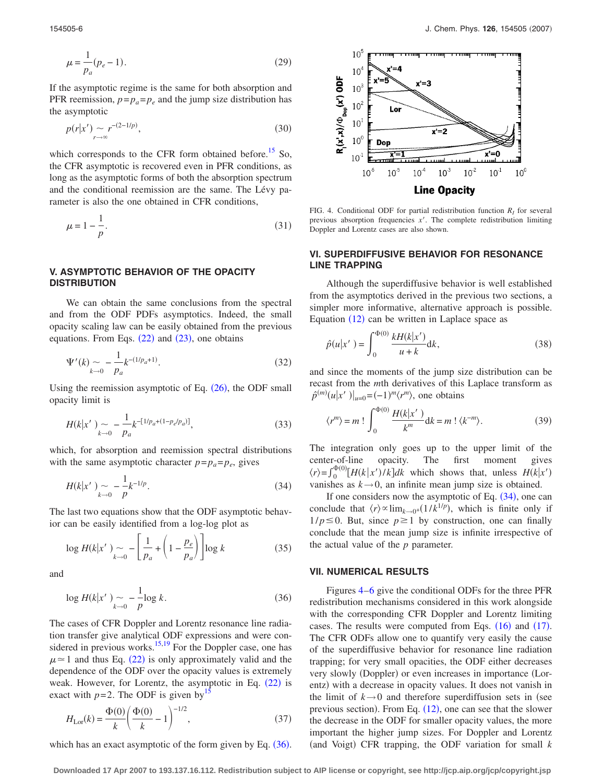<span id="page-5-1"></span>
$$
\mu = \frac{1}{p_a}(p_e - 1). \tag{29}
$$

If the asymptotic regime is the same for both absorption and PFR reemission,  $p = p_a = p_e$  and the jump size distribution has the asymptotic

$$
p(r|x') \sim r^{-(2-1/p)},\tag{30}
$$

which corresponds to the CFR form obtained before.<sup>15</sup> So, the CFR asymptotic is recovered even in PFR conditions, as long as the asymptotic forms of both the absorption spectrum and the conditional reemission are the same. The Lévy parameter is also the one obtained in CFR conditions,

$$
\mu = 1 - \frac{1}{p}.\tag{31}
$$

## **V. ASYMPTOTIC BEHAVIOR OF THE OPACITY DISTRIBUTION**

We can obtain the same conclusions from the spectral and from the ODF PDFs asymptotics. Indeed, the small opacity scaling law can be easily obtained from the previous equations. From Eqs.  $(22)$  $(22)$  $(22)$  and  $(23)$  $(23)$  $(23)$ , one obtains

$$
\Psi'(k) \sim -\frac{1}{p_a} k^{-(1/p_a+1)}.
$$
\n(32)

Using the reemission asymptotic of Eq.  $(26)$  $(26)$  $(26)$ , the ODF small opacity limit is

$$
H(k|x') \sim -\frac{1}{p_a} k^{-[1/p_a + (1-p_e/p_a)]}, \tag{33}
$$

which, for absorption and reemission spectral distributions with the same asymptotic character  $p=p_a=p_e$ , gives

$$
H(k|x') \sim -\frac{1}{p} k^{-1/p}.
$$
 (34)

The last two equations show that the ODF asymptotic behavior can be easily identified from a log-log plot as

$$
\log H(k|x') \sim -\left[\frac{1}{p_a} + \left(1 - \frac{p_e}{p_a}\right)\right] \log k \tag{35}
$$

<span id="page-5-0"></span>and

$$
\log H(k|x') \sim -\frac{1}{p} \log k. \tag{36}
$$

The cases of CFR Doppler and Lorentz resonance line radiation transfer give analytical ODF expressions and were con-sidered in previous works.<sup>15[,19](#page-10-15)</sup> For the Doppler case, one has  $\mu \approx 1$  and thus Eq. ([22](#page-4-3)) is only approximately valid and the dependence of the ODF over the opacity values is extremely weak. However, for Lorentz, the asymptotic in Eq.  $(22)$  $(22)$  $(22)$  is exact with  $p=2$ . The ODF is given by<sup>15</sup>

$$
H_{\text{Lor}}(k) = \frac{\Phi(0)}{k} \left( \frac{\Phi(0)}{k} - 1 \right)^{-1/2},\tag{37}
$$

which has an exact asymptotic of the form given by Eq.  $(36)$  $(36)$  $(36)$ .

<span id="page-5-2"></span>

FIG. 4. Conditional ODF for partial redistribution function  $R<sub>I</sub>$  for several previous absorption frequencies *x*. The complete redistribution limiting Doppler and Lorentz cases are also shown.

## **VI. SUPERDIFFUSIVE BEHAVIOR FOR RESONANCE LINE TRAPPING**

Although the superdiffusive behavior is well established from the asymptotics derived in the previous two sections, a simpler more informative, alternative approach is possible. Equation  $(12)$  $(12)$  $(12)$  can be written in Laplace space as

$$
\hat{p}(u|x') = \int_0^{\Phi(0)} \frac{kH(k|x')}{u+k} dk,
$$
\n(38)

and since the moments of the jump size distribution can be recast from the *m*th derivatives of this Laplace transform as  $\hat{p}^{(m)}(u|x'|)|_{u=0} = (-1)^m \langle r^m \rangle$ , one obtains

$$
\langle r^m \rangle = m! \int_0^{\Phi(0)} \frac{H(k|x')}{k^m} dk = m! \langle k^{-m} \rangle.
$$
 (39)

The integration only goes up to the upper limit of the center-of-line opacity. The first moment gives  $\langle r \rangle = \int_0^{\Phi(0)} [H(k|x')/k] dk$  which shows that, unless  $H(k|x')$ vanishes as  $k \rightarrow 0$ , an infinite mean jump size is obtained.

If one considers now the asymptotic of Eq.  $(34)$  $(34)$  $(34)$ , one can conclude that  $\langle r \rangle \propto \lim_{k \to 0^+} (1/k^{1/p})$ , which is finite only if  $1/p \le 0$ . But, since  $p \ge 1$  by construction, one can finally conclude that the mean jump size is infinite irrespective of the actual value of the *p* parameter.

#### **VII. NUMERICAL RESULTS**

Figures [4](#page-5-2)[–6](#page-7-0) give the conditional ODFs for the three PFR redistribution mechanisms considered in this work alongside with the corresponding CFR Doppler and Lorentz limiting cases. The results were computed from Eqs.  $(16)$  $(16)$  $(16)$  and  $(17)$  $(17)$  $(17)$ . The CFR ODFs allow one to quantify very easily the cause of the superdiffusive behavior for resonance line radiation trapping; for very small opacities, the ODF either decreases very slowly (Doppler) or even increases in importance (Lorentz) with a decrease in opacity values. It does not vanish in the limit of  $k \rightarrow 0$  and therefore superdiffusion sets in (see previous section). From Eq.  $(12)$  $(12)$  $(12)$ , one can see that the slower the decrease in the ODF for smaller opacity values, the more important the higher jump sizes. For Doppler and Lorentz (and Voigt) CFR trapping, the ODF variation for small *k* 

**Downloaded 17 Apr 2007 to 193.137.16.112. Redistribution subject to AIP license or copyright, see http://jcp.aip.org/jcp/copyright.jsp**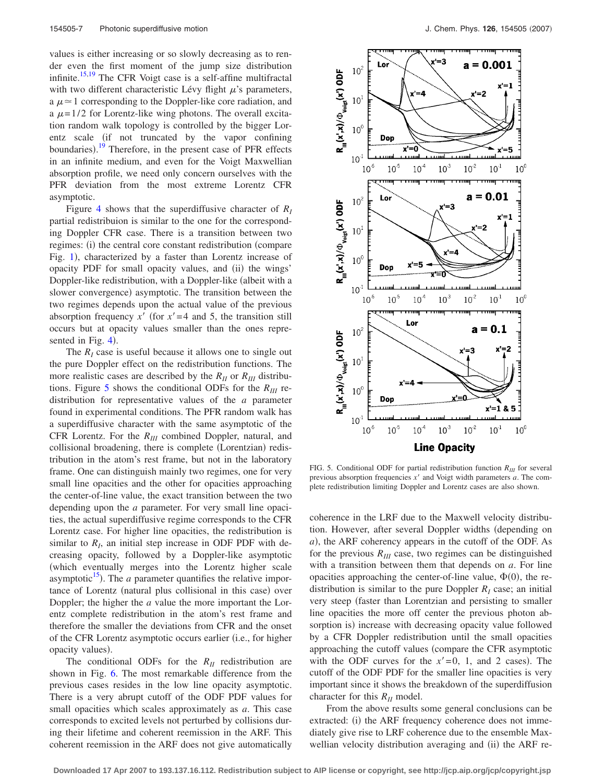values is either increasing or so slowly decreasing as to render even the first moment of the jump size distribution infinite.<sup>15,[19](#page-10-15)</sup> The CFR Voigt case is a self-affine multifractal with two different characteristic Lévy flight  $\mu$ 's parameters, a  $\mu \approx 1$  corresponding to the Doppler-like core radiation, and a  $\mu$ =1/2 for Lorentz-like wing photons. The overall excitation random walk topology is controlled by the bigger Lorentz scale (if not truncated by the vapor confining boundaries).<sup>[19](#page-10-15)</sup> Therefore, in the present case of PFR effects in an infinite medium, and even for the Voigt Maxwellian absorption profile, we need only concern ourselves with the PFR deviation from the most extreme Lorentz CFR asymptotic.

Figure [4](#page-5-2) shows that the superdiffusive character of  $R_I$ partial redistribuion is similar to the one for the corresponding Doppler CFR case. There is a transition between two regimes: (i) the central core constant redistribution (compare Fig. [1](#page-2-0)), characterized by a faster than Lorentz increase of opacity PDF for small opacity values, and (ii) the wings' Doppler-like redistribution, with a Doppler-like (albeit with a slower convergence) asymptotic. The transition between the two regimes depends upon the actual value of the previous absorption frequency  $x'$  (for  $x' = 4$  and 5, the transition still occurs but at opacity values smaller than the ones repre-sented in Fig. [4](#page-5-2)).

The  $R<sub>I</sub>$  case is useful because it allows one to single out the pure Doppler effect on the redistribution functions. The more realistic cases are described by the  $R_{II}$  or  $R_{III}$  distribu-tions. Figure [5](#page-6-0) shows the conditional ODFs for the  $R_{III}$  redistribution for representative values of the *a* parameter found in experimental conditions. The PFR random walk has a superdiffusive character with the same asymptotic of the CFR Lorentz. For the  $R_{III}$  combined Doppler, natural, and collisional broadening, there is complete (Lorentzian) redistribution in the atom's rest frame, but not in the laboratory frame. One can distinguish mainly two regimes, one for very small line opacities and the other for opacities approaching the center-of-line value, the exact transition between the two depending upon the *a* parameter. For very small line opacities, the actual superdiffusive regime corresponds to the CFR Lorentz case. For higher line opacities, the redistribution is similar to  $R<sub>I</sub>$ , an initial step increase in ODF PDF with decreasing opacity, followed by a Doppler-like asymptotic which eventually merges into the Lorentz higher scale asymptotic $15$ ). The *a* parameter quantifies the relative importance of Lorentz (natural plus collisional in this case) over Doppler; the higher the *a* value the more important the Lorentz complete redistribution in the atom's rest frame and therefore the smaller the deviations from CFR and the onset of the CFR Lorentz asymptotic occurs earlier (i.e., for higher opacity values).

The conditional ODFs for the  $R_{II}$  redistribution are shown in Fig. [6.](#page-7-0) The most remarkable difference from the previous cases resides in the low line opacity asymptotic. There is a very abrupt cutoff of the ODF PDF values for small opacities which scales approximately as *a*. This case corresponds to excited levels not perturbed by collisions during their lifetime and coherent reemission in the ARF. This coherent reemission in the ARF does not give automatically

<span id="page-6-0"></span>

FIG. 5. Conditional ODF for partial redistribution function  $R_{III}$  for several previous absorption frequencies *x'* and Voigt width parameters *a*. The complete redistribution limiting Doppler and Lorentz cases are also shown.

coherence in the LRF due to the Maxwell velocity distribution. However, after several Doppler widths (depending on *a*), the ARF coherency appears in the cutoff of the ODF. As for the previous  $R_{III}$  case, two regimes can be distinguished with a transition between them that depends on *a*. For line opacities approaching the center-of-line value,  $\Phi(0)$ , the redistribution is similar to the pure Doppler  $R<sub>I</sub>$  case; an initial very steep faster than Lorentzian and persisting to smaller line opacities the more off center the previous photon absorption is) increase with decreasing opacity value followed by a CFR Doppler redistribution until the small opacities approaching the cutoff values (compare the CFR asymptotic with the ODF curves for the  $x' = 0$ , 1, and 2 cases). The cutoff of the ODF PDF for the smaller line opacities is very important since it shows the breakdown of the superdiffusion character for this  $R<sub>II</sub>$  model.

From the above results some general conclusions can be extracted: (i) the ARF frequency coherence does not immediately give rise to LRF coherence due to the ensemble Maxwellian velocity distribution averaging and (ii) the ARF re-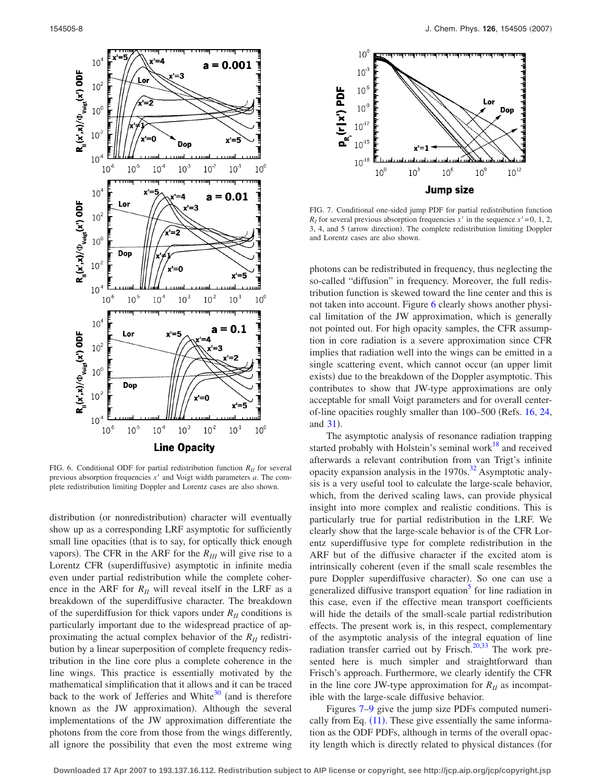<span id="page-7-0"></span>

FIG. 6. Conditional ODF for partial redistribution function  $R<sub>H</sub>$  for several previous absorption frequencies  $x'$  and Voigt width parameters  $a$ . The complete redistribution limiting Doppler and Lorentz cases are also shown.

distribution (or nonredistribution) character will eventually show up as a corresponding LRF asymptotic for sufficiently small line opacities (that is to say, for optically thick enough vapors). The CFR in the ARF for the  $R_{III}$  will give rise to a Lorentz CFR (superdiffusive) asymptotic in infinite media even under partial redistribution while the complete coherence in the ARF for  $R_{II}$  will reveal itself in the LRF as a breakdown of the superdiffusive character. The breakdown of the superdiffusion for thick vapors under  $R<sub>H</sub>$  conditions is particularly important due to the widespread practice of approximating the actual complex behavior of the  $R<sub>H</sub>$  redistribution by a linear superposition of complete frequency redistribution in the line core plus a complete coherence in the line wings. This practice is essentially motivated by the mathematical simplification that it allows and it can be traced back to the work of Jefferies and White<sup>30</sup> (and is therefore known as the JW approximation). Although the several implementations of the JW approximation differentiate the photons from the core from those from the wings differently, all ignore the possibility that even the most extreme wing

<span id="page-7-1"></span>

FIG. 7. Conditional one-sided jump PDF for partial redistribution function  $R<sub>I</sub>$  for several previous absorption frequencies *x'* in the sequence  $x' = 0, 1, 2$ , 3, 4, and 5 (arrow direction). The complete redistribution limiting Doppler and Lorentz cases are also shown.

photons can be redistributed in frequency, thus neglecting the so-called "diffusion" in frequency. Moreover, the full redistribution function is skewed toward the line center and this is not taken into account. Figure [6](#page-7-0) clearly shows another physical limitation of the JW approximation, which is generally not pointed out. For high opacity samples, the CFR assumption in core radiation is a severe approximation since CFR implies that radiation well into the wings can be emitted in a single scattering event, which cannot occur (an upper limit exists) due to the breakdown of the Doppler asymptotic. This contributes to show that JW-type approximations are only acceptable for small Voigt parameters and for overall centerof-line opacities roughly smaller than 100–500 Refs. [16,](#page-10-13) [24,](#page-10-20) and  $31$ ).

The asymptotic analysis of resonance radiation trapping started probably with Holstein's seminal work $18$  and received afterwards a relevant contribution from van Trigt's infinite opacity expansion analysis in the  $1970s$ .<sup>32</sup> Asymptotic analysis is a very useful tool to calculate the large-scale behavior, which, from the derived scaling laws, can provide physical insight into more complex and realistic conditions. This is particularly true for partial redistribution in the LRF. We clearly show that the large-scale behavior is of the CFR Lorentz superdiffusive type for complete redistribution in the ARF but of the diffusive character if the excited atom is intrinsically coherent (even if the small scale resembles the pure Doppler superdiffusive character). So one can use a generalized diffusive transport equation<sup>3</sup> for line radiation in this case, even if the effective mean transport coefficients will hide the details of the small-scale partial redistribution effects. The present work is, in this respect, complementary of the asymptotic analysis of the integral equation of line radiation transfer carried out by Frisch.<sup>20,[33](#page-10-28)</sup> The work presented here is much simpler and straightforward than Frisch's approach. Furthermore, we clearly identify the CFR in the line core JW-type approximation for  $R_{II}$  as incompatible with the large-scale diffusive behavior.

Figures [7](#page-7-1)[–9](#page-9-2) give the jump size PDFs computed numerically from Eq.  $(11)$  $(11)$  $(11)$ . These give essentially the same information as the ODF PDFs, although in terms of the overall opacity length which is directly related to physical distances (for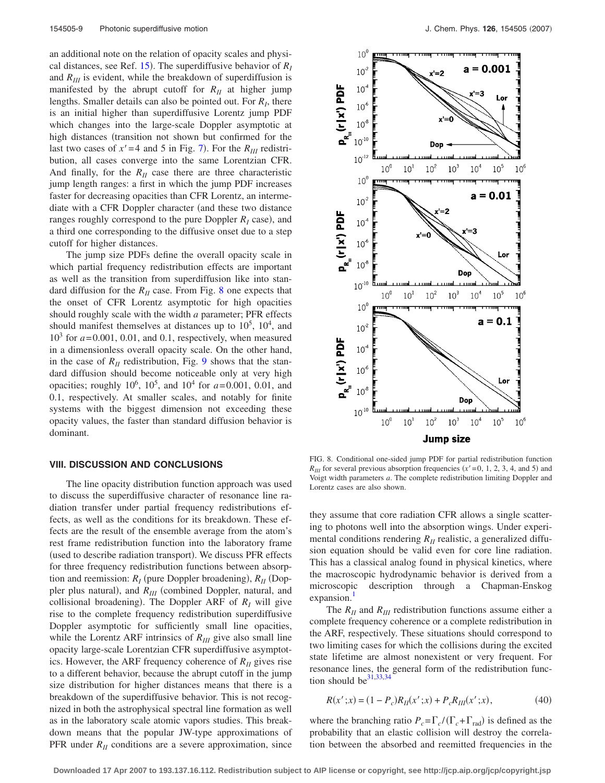an additional note on the relation of opacity scales and physical distances, see Ref.  $15$ ). The superdiffusive behavior of  $R_I$ and  $R_{III}$  is evident, while the breakdown of superdiffusion is manifested by the abrupt cutoff for  $R<sub>II</sub>$  at higher jump lengths. Smaller details can also be pointed out. For *RI*, there is an initial higher than superdiffusive Lorentz jump PDF which changes into the large-scale Doppler asymptotic at high distances (transition not shown but confirmed for the last two cases of  $x' = 4$  and 5 in Fig. [7](#page-7-1)). For the  $R_{III}$  redistribution, all cases converge into the same Lorentzian CFR. And finally, for the  $R<sub>H</sub>$  case there are three characteristic jump length ranges: a first in which the jump PDF increases faster for decreasing opacities than CFR Lorentz, an intermediate with a CFR Doppler character (and these two distance ranges roughly correspond to the pure Doppler  $R_I$  case), and a third one corresponding to the diffusive onset due to a step cutoff for higher distances.

The jump size PDFs define the overall opacity scale in which partial frequency redistribution effects are important as well as the transition from superdiffusion like into standard diffusion for the  $R<sub>H</sub>$  case. From Fig. [8](#page-8-0) one expects that the onset of CFR Lorentz asymptotic for high opacities should roughly scale with the width *a* parameter; PFR effects should manifest themselves at distances up to  $10^5$ ,  $10^4$ , and  $10<sup>3</sup>$  for  $a = 0.001$ , 0.01, and 0.1, respectively, when measured in a dimensionless overall opacity scale. On the other hand, in the case of  $R<sub>H</sub>$  redistribution, Fig. [9](#page-9-2) shows that the standard diffusion should become noticeable only at very high opacities; roughly  $10^6$ ,  $10^5$ , and  $10^4$  for  $a = 0.001$ , 0.01, and 0.1, respectively. At smaller scales, and notably for finite systems with the biggest dimension not exceeding these opacity values, the faster than standard diffusion behavior is dominant.

#### **VIII. DISCUSSION AND CONCLUSIONS**

The line opacity distribution function approach was used to discuss the superdiffusive character of resonance line radiation transfer under partial frequency redistributions effects, as well as the conditions for its breakdown. These effects are the result of the ensemble average from the atom's rest frame redistribution function into the laboratory frame (used to describe radiation transport). We discuss PFR effects for three frequency redistribution functions between absorption and reemission:  $R_I$  (pure Doppler broadening),  $R_{II}$  (Doppler plus natural), and  $R_{III}$  (combined Doppler, natural, and collisional broadening). The Doppler ARF of  $R_I$  will give rise to the complete frequency redistribution superdiffusive Doppler asymptotic for sufficiently small line opacities, while the Lorentz ARF intrinsics of  $R_{III}$  give also small line opacity large-scale Lorentzian CFR superdiffusive asymptotics. However, the ARF frequency coherence of  $R_{II}$  gives rise to a different behavior, because the abrupt cutoff in the jump size distribution for higher distances means that there is a breakdown of the superdiffusive behavior. This is not recognized in both the astrophysical spectral line formation as well as in the laboratory scale atomic vapors studies. This breakdown means that the popular JW-type approximations of PFR under  $R<sub>II</sub>$  conditions are a severe approximation, since

<span id="page-8-0"></span>

FIG. 8. Conditional one-sided jump PDF for partial redistribution function  $R_{III}$  for several previous absorption frequencies ( $x' = 0, 1, 2, 3, 4$ , and 5) and Voigt width parameters *a*. The complete redistribution limiting Doppler and Lorentz cases are also shown.

they assume that core radiation CFR allows a single scattering to photons well into the absorption wings. Under experimental conditions rendering  $R<sub>H</sub>$  realistic, a generalized diffusion equation should be valid even for core line radiation. This has a classical analog found in physical kinetics, where the macroscopic hydrodynamic behavior is derived from a microscopic description through a Chapman-Enskog expansion.<sup>1</sup>

The  $R_{II}$  and  $R_{III}$  redistribution functions assume either a complete frequency coherence or a complete redistribution in the ARF, respectively. These situations should correspond to two limiting cases for which the collisions during the excited state lifetime are almost nonexistent or very frequent. For resonance lines, the general form of the redistribution function should be  $31,33,34$  $31,33,34$  $31,33,34$ 

$$
R(x';x) = (1 - P_c)R_{II}(x';x) + P_cR_{III}(x';x),
$$
\n(40)

<span id="page-8-1"></span>where the branching ratio  $P_c = \Gamma_c / (\Gamma_c + \Gamma_{rad})$  is defined as the probability that an elastic collision will destroy the correlation between the absorbed and reemitted frequencies in the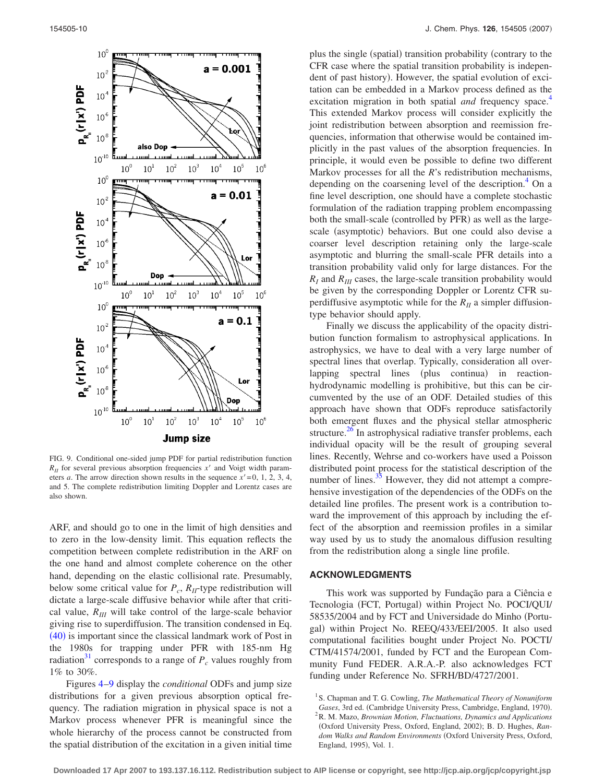<span id="page-9-2"></span>

FIG. 9. Conditional one-sided jump PDF for partial redistribution function  $R_{II}$  for several previous absorption frequencies  $x'$  and Voigt width parameters *a*. The arrow direction shown results in the sequence  $x' = 0$ , 1, 2, 3, 4, and 5. The complete redistribution limiting Doppler and Lorentz cases are also shown.

ARF, and should go to one in the limit of high densities and to zero in the low-density limit. This equation reflects the competition between complete redistribution in the ARF on the one hand and almost complete coherence on the other hand, depending on the elastic collisional rate. Presumably, below some critical value for  $P_c$ ,  $R_H$ -type redistribution will dictate a large-scale diffusive behavior while after that critical value,  $R_{III}$  will take control of the large-scale behavior giving rise to superdiffusion. The transition condensed in Eq. ([40](#page-8-1)) is important since the classical landmark work of Post in the 1980s for trapping under PFR with 185-nm Hg radiation<sup>31</sup> corresponds to a range of  $P_c$  values roughly from 1% to 30%.

Figures [4](#page-5-2)[–9](#page-9-2) display the *conditional* ODFs and jump size distributions for a given previous absorption optical frequency. The radiation migration in physical space is not a Markov process whenever PFR is meaningful since the whole hierarchy of the process cannot be constructed from the spatial distribution of the excitation in a given initial time

plus the single (spatial) transition probability (contrary to the CFR case where the spatial transition probability is independent of past history). However, the spatial evolution of excitation can be embedded in a Markov process defined as the excitation migration in both spatial *and* frequency space.<sup>4</sup> This extended Markov process will consider explicitly the joint redistribution between absorption and reemission frequencies, information that otherwise would be contained implicitly in the past values of the absorption frequencies. In principle, it would even be possible to define two different Markov processes for all the *R*'s redistribution mechanisms, depending on the coarsening level of the description.<sup>4</sup> On a fine level description, one should have a complete stochastic formulation of the radiation trapping problem encompassing both the small-scale (controlled by PFR) as well as the largescale (asymptotic) behaviors. But one could also devise a coarser level description retaining only the large-scale asymptotic and blurring the small-scale PFR details into a transition probability valid only for large distances. For the  $R_I$  and  $R_{II}$  cases, the large-scale transition probability would be given by the corresponding Doppler or Lorentz CFR superdiffusive asymptotic while for the  $R_{II}$  a simpler diffusiontype behavior should apply.

Finally we discuss the applicability of the opacity distribution function formalism to astrophysical applications. In astrophysics, we have to deal with a very large number of spectral lines that overlap. Typically, consideration all overlapping spectral lines (plus continua) in reactionhydrodynamic modelling is prohibitive, but this can be circumvented by the use of an ODF. Detailed studies of this approach have shown that ODFs reproduce satisfactorily both emergent fluxes and the physical stellar atmospheric structure. $26$  In astrophysical radiative transfer problems, each individual opacity will be the result of grouping several lines. Recently, Wehrse and co-workers have used a Poisson distributed point process for the statistical description of the number of lines. $35$  However, they did not attempt a comprehensive investigation of the dependencies of the ODFs on the detailed line profiles. The present work is a contribution toward the improvement of this approach by including the effect of the absorption and reemission profiles in a similar way used by us to study the anomalous diffusion resulting from the redistribution along a single line profile.

#### **ACKNOWLEDGMENTS**

This work was supported by Fundação para a Ciência e Tecnologia (FCT, Portugal) within Project No. POCI/QUI/ 58535/2004 and by FCT and Universidade do Minho (Portugal) within Project No. REEQ/433/EEI/2005. It also used computational facilities bought under Project No. POCTI/ CTM/41574/2001, funded by FCT and the European Community Fund FEDER. A.R.A.-P. also acknowledges FCT funding under Reference No. SFRH/BD/4727/2001.

<span id="page-9-1"></span><span id="page-9-0"></span><sup>1</sup> S. Chapman and T. G. Cowling, *The Mathematical Theory of Nonuniform Gases*, 3rd ed. (Cambridge University Press, Cambridge, England, 1970).<br><sup>2</sup> P. M. Mazo, *Brownian Motion, Elustrations*, Dynamics and Applications R. M. Mazo, *Brownian Motion, Fluctuations, Dynamics and Applications* (Oxford University Press, Oxford, England, 2002); B. D. Hughes, Ran*dom Walks and Random Environments* Oxford University Press, Oxford, England, 1995), Vol. 1.